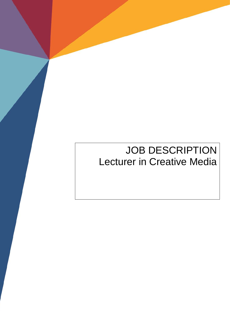# **JOB DESCRIPTION** Lecturer in Creative Media

**Job Description**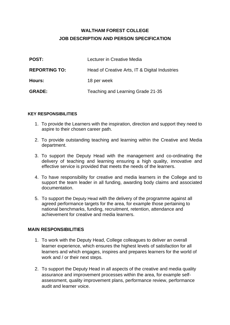# **WALTHAM FOREST COLLEGE JOB DESCRIPTION AND PERSON SPECIFICATION**

| <b>POST:</b>         | Lecturer in Creative Media                     |
|----------------------|------------------------------------------------|
| <b>REPORTING TO:</b> | Head of Creative Arts, IT & Digital Industries |
| Hours:               | 18 per week                                    |
| <b>GRADE:</b>        | Teaching and Learning Grade 21-35              |

#### **KEY RESPONSIBILITIES**

- 1. To provide the Learners with the inspiration, direction and support they need to aspire to their chosen career path.
- 2. To provide outstanding teaching and learning within the Creative and Media department.
- 3. To support the Deputy Head with the management and co-ordinating the delivery of teaching and learning ensuring a high quality, innovative and effective service is provided that meets the needs of the learners.
- 4. To have responsibility for creative and media learners in the College and to support the team leader in all funding, awarding body claims and associated documentation.
- 5. To support the Deputy Head with the delivery of the programme against all agreed performance targets for the area, for example those pertaining to national benchmarks, funding, recruitment, retention, attendance and achievement for creative and media learners.

## **MAIN RESPONSIBILITIES**

- 1. To work with the Deputy Head, College colleagues to deliver an overall learner experience, which ensures the highest levels of satisfaction for all learners and which engages, inspires and prepares learners for the world of work and / or their next steps.
- 2. To support the Deputy Head in all aspects of the creative and media quality assurance and improvement processes within the area, for example selfassessment, quality improvement plans, performance review, performance audit and learner voice.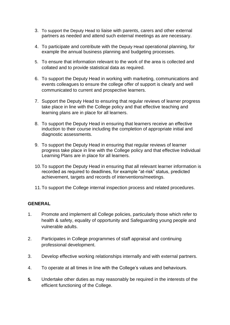- 3. To support the Deputy Head to liaise with parents, carers and other external partners as needed and attend such external meetings as are necessary.
- 4. To participate and contribute with the Deputy Head operational planning, for example the annual business planning and budgeting processes.
- 5. To ensure that information relevant to the work of the area is collected and collated and to provide statistical data as required.
- 6. To support the Deputy Head in working with marketing, communications and events colleagues to ensure the college offer of support is clearly and well communicated to current and prospective learners.
- 7. Support the Deputy Head to ensuring that regular reviews of learner progress take place in line with the College policy and that effective teaching and learning plans are in place for all learners.
- 8. To support the Deputy Head in ensuring that learners receive an effective induction to their course including the completion of appropriate initial and diagnostic assessments.
- 9. To support the Deputy Head in ensuring that regular reviews of learner progress take place in line with the College policy and that effective Individual Learning Plans are in place for all learners.
- 10.To support the Deputy Head in ensuring that all relevant learner information is recorded as required to deadlines, for example "at-risk" status, predicted achievement, targets and records of interventions/meetings.
- 11.To support the College internal inspection process and related procedures.

## **GENERAL**

- 1. Promote and implement all College policies, particularly those which refer to health & safety, equality of opportunity and Safeguarding young people and vulnerable adults.
- 2. Participates in College programmes of staff appraisal and continuing professional development.
- 3. Develop effective working relationships internally and with external partners.
- 4. To operate at all times in line with the College's values and behaviours.
- **5.** Undertake other duties as may reasonably be required in the interests of the efficient functioning of the College.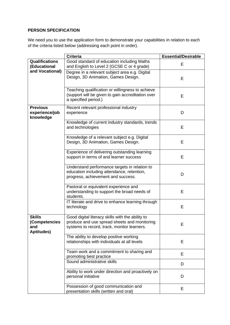#### **PERSON SPECIFICATION**

We need you to use the application form to demonstrate your capabilities in relation to each of the criteria listed below (addressing each point in order).

|                                                            | <b>Criteria</b>                                                                                                                                 | <b>Essential/Desirable</b> |
|------------------------------------------------------------|-------------------------------------------------------------------------------------------------------------------------------------------------|----------------------------|
| <b>Qualifications</b><br>(Educational<br>and Vocational)   | Good standard of education including Maths<br>and English to Level 2 (GCSE C or 4 grade)                                                        | E                          |
|                                                            | Degree in a relevant subject area e.g. Digital<br>Design, 3D Animation, Games Design.                                                           | E                          |
|                                                            | Teaching qualification or willingness to achieve<br>(support will be given to gain accreditation over<br>a specified period.)                   | E                          |
| <b>Previous</b><br>experience/job<br>knowledge             | Recent relevant professional industry<br>experience                                                                                             | D                          |
|                                                            | Knowledge of current industry standards, trends<br>and technologies                                                                             | E                          |
|                                                            | Knowledge of a relevant subject e.g. Digital<br>Design, 3D Animation, Games Design.                                                             | E                          |
|                                                            | Experience of delivering outstanding learning<br>support in terms of and learner success                                                        | Е                          |
|                                                            | Understand performance targets in relation to<br>education including attendance, retention,<br>progress, achievement and success.               | D                          |
|                                                            | Pastoral or equivalent experience and<br>understanding to support the broad needs of<br>students.                                               | E                          |
|                                                            | IT literate and drive to enhance learning through<br>technology                                                                                 | E                          |
| <b>Skills</b><br>(Competencies<br>and<br><b>Aptitudes)</b> | Good digital literacy skills with the ability to<br>produce and use spread sheets and monitoring<br>systems to record, track, monitor learners. | Ε                          |
|                                                            | The ability to develop positive working<br>relationships with individuals at all levels                                                         | Е                          |
|                                                            | Team work and a commitment to sharing and<br>promoting best practice                                                                            | E                          |
|                                                            | Sound administrative skills                                                                                                                     | D                          |
|                                                            | Ability to work under direction and proactively on<br>personal initiative                                                                       | D                          |
|                                                            | Possession of good communication and<br>presentation skills (written and oral)                                                                  | Е                          |